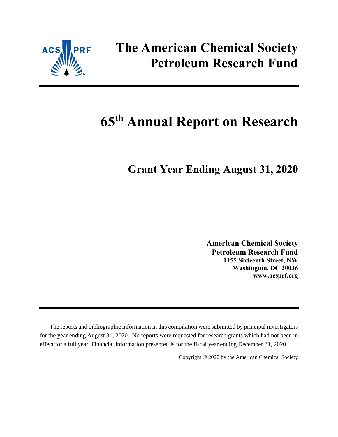

# **The American Chemical Society Petroleum Research Fund**

# **65 th Annual Report on Research**

# **Grant Year Ending August 31, 2020**

**American Chemical Society Petroleum Research Fund 1155 Sixteenth Street, NW Washington, DC 20036 www.acsprf.org**

The reports and bibliographic information in this compilation were submitted by principal investigators for the year ending August 31, 2020. No reports were requested for research grants which had not been in effect for a full year. Financial information presented is for the fiscal year ending December 31, 2020.

Copyright © 2020 by the American Chemical Society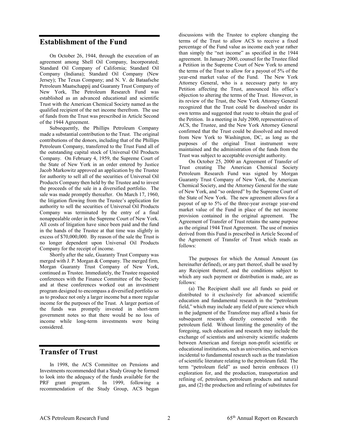# **Establishment of the Fund**

On October 26, 1944, through the execution of an agreement among Shell Oil Company, Incorporated; Standard Oil Company of California; Standard Oil Company (Indiana); Standard Oil Company (New Jersey); The Texas Company; and N. V. de Bataafsche Petroleum Maatschappij and Guaranty Trust Company of New York, The Petroleum Research Fund was established as an advanced educational and scientific Trust with the American Chemical Society named as the qualified recipient of the net income therefrom. The use of funds from the Trust was prescribed in Article Second of the 1944 Agreement.

Subsequently, the Phillips Petroleum Company made a substantial contribution to the Trust. The original contributions of the donors, including that of the Phillips Petroleum Company, transferred to the Trust Fund all of the outstanding capital stock of Universal Oil Products Company. On February 4, 1959, the Supreme Court of the State of New York in an order entered by Justice Jacob Markowitz approved an application by the Trustee for authority to sell all of the securities of Universal Oil Products Company then held by the Trustee and to invest the proceeds of the sale in a diversified portfolio. The sale was made promptly thereafter. On March 17, 1960, the litigation flowing from the Trustee's application for authority to sell the securities of Universal Oil Products Company was terminated by the entry of a final nonappealable order in the Supreme Court of New York. All costs of litigation have since been paid and the fund in the hands of the Trustee at that time was slightly in excess of \$70,000,000. By reason of the sale the Trust is no longer dependent upon Universal Oil Products Company for the receipt of income.

Shortly after the sale, Guaranty Trust Company was merged with J. P. Morgan & Company. The merged firm, Morgan Guaranty Trust Company of New York, continued as Trustee. Immediately, the Trustee requested conferences with the Finance Committee of the Society and at these conferences worked out an investment program designed to encompass a diversified portfolio so as to produce not only a larger income but a more regular income for the purposes of the Trust. A larger portion of the funds was promptly invested in short-term government notes so that there would be no loss of income while long-term investments were being considered.

# **Transfer of Trust**

In 1998, the ACS Committee on Pensions and Investments recommended that a Study Group be formed to look into the adequacy of the funds available for the PRF grant program. In 1999, following a recommendation of the Study Group, ACS began discussions with the Trustee to explore changing the terms of the Trust to allow ACS to receive a fixed percentage of the Fund value as income each year rather than simply the "net income" as specified in the 1944 agreement. In January 2000, counsel for the Trustee filed a Petition in the Supreme Court of New York to amend the terms of the Trust to allow for a payout of 5% of the year-end market value of the Fund. The New York Attorney General, who is a necessary party to any Petition affecting the Trust, announced his office's objection to altering the terms of the Trust. However, in its review of the Trust, the New York Attorney General recognized that the Trust could be dissolved under its own terms and suggested that route to obtain the goal of the Petition. In a meeting in July 2000, representatives of ACS, the Trustee, and the New York Attorney General confirmed that the Trust could be dissolved and moved from New York to Washington, DC, as long as the purposes of the original Trust instrument were maintained and the administration of the funds from the Trust was subject to acceptable oversight authority.

On October 25, 2000 an Agreement of Transfer of Trust creating The American Chemical Society Petroleum Research Fund was signed by Morgan Guaranty Trust Company of New York, the American Chemical Society, and the Attorney General for the state of New York, and "so ordered" by the Supreme Court of the State of New York. The new agreement allows for a payout of up to 5% of the three-year average year-end market value of the Fund in place of the net income provision contained in the original agreement. The Agreement of Transfer of Trust retains the same purpose as the original 1944 Trust Agreement. The use of monies derived from this Fund is prescribed in Article Second of the Agreement of Transfer of Trust which reads as follows:

The purposes for which the Annual Amount (as hereinafter defined), or any part thereof, shall be used by any Recipient thereof, and the conditions subject to which any such payment or distribution is made, are as follows:

(a) The Recipient shall use all funds so paid or distributed to it exclusively for advanced scientific education and fundamental research in the "petroleum field," which may include any field of pure science which in the judgment of the Transferee may afford a basis for subsequent research directly connected with the petroleum field. Without limiting the generality of the foregoing, such education and research may include the exchange of scientists and university scientific students between American and foreign non-profit scientific or educational institutions, such as universities, and services incidental to fundamental research such as the translation of scientific literature relating to the petroleum field. The term "petroleum field" as used herein embraces (1) exploration for, and the production, transportation and refining of, petroleum, petroleum products and natural gas, and (2) the production and refining of substitutes for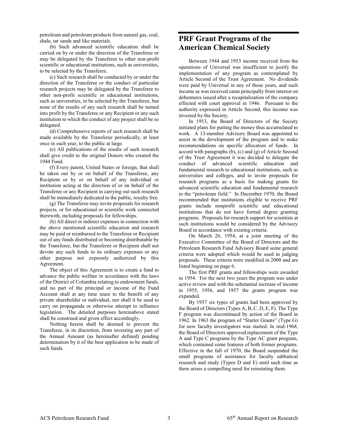petroleum and petroleum products from natural gas, coal, shale, tar sands and like materials.

(b) Such advanced scientific education shall be carried on by or under the direction of the Transferee or may be delegated by the Transferee to other non-profit scientific or educational institutions, such as universities, to be selected by the Transferee.

(c) Such research shall be conducted by or under the direction of the Transferee or the conduct of particular research projects may be delegated by the Transferee to other non-profit scientific or educational institutions, such as universities, to be selected by the Transferee, but none of the results of any such research shall be turned into profit by the Transferee or any Recipient or any such institution to which the conduct of any project shall be so delegated.

(d) Comprehensive reports of such research shall be made available by the Transferee periodically, at least once in each year, to the public at large.

(e) All publications of the results of such research shall give credit to the original Donors who created the 1944 Fund.

(f) Every patent, United States or foreign, that shall be taken out by or on behalf of the Transferee, any Recipient or by or on behalf of any individual or institution acting at the direction of or on behalf of the Transferee or any Recipient in carrying out such research shall be immediately dedicated to the public, royalty free.

(g) The Transferee may invite proposals for research projects, or for educational or scientific work connected therewith, including proposals for fellowships.

(h) All direct or indirect expenses in connection with the above mentioned scientific education and research may be paid or reimbursed to the Transferee or Recipient out of any funds distributed or becoming distributable by the Transferee, but the Transferee or Recipient shall not devote any such funds to its ordinary expenses or any other purpose not expressly authorized by this Agreement.

The object of this Agreement is to create a fund to advance the public welfare in accordance with the laws of the District of Columbia relating to endowment funds, and no part of the principal or income of the Fund Account shall at any time inure to the benefit of any private shareholder or individual, nor shall it be used to carry on propaganda or otherwise attempt to influence legislation. The detailed purposes hereinabove stated shall be construed and given effect accordingly.

Nothing herein shall be deemed to prevent the Transferee, in its discretion, from investing any part of the Annual Amount (as hereinafter defined) pending determination by it of the best application to be made of such funds.

# **PRF Grant Programs of the American Chemical Society**

Between 1944 and 1953 income received from the operations of Universal was insufficient to justify the implementation of any program as contemplated by Article Second of the Trust Agreement. No dividends were paid by Universal in any of those years, and such income as was received came principally from interest on debentures issued after a recapitalization of the company effected with court approval in 1946. Pursuant to the authority expressed in Article Second, this income was invested by the Society.

In 1953, the Board of Directors of the Society initiated plans for putting the money thus accumulated to work. A 13-member Advisory Board was appointed to assist in the development of the program and to make recommendations on specific allocation of funds. In accord with paragraphs (b), (c) and (g) of Article Second of the Trust Agreement it was decided to delegate the conduct of advanced scientific education and fundamental research to educational institutions, such as universities and colleges, and to invite proposals for research programs as a basis for making grants for advanced scientific education and fundamental research in the "petroleum field." In December 1970, the Board recommended that institutions eligible to receive PRF grants include nonprofit scientific and educational institutions that do not have formal degree granting programs. Proposals for research support for scientists at such institutions would be considered by the Advisory Board in accordance with existing criteria.

On March 26, 1954, at a joint meeting of the Executive Committee of the Board of Directors and the Petroleum Research Fund Advisory Board some general criteria were adopted which would be used in judging proposals. These criteria were modified in 2000 and are listed beginning on page 6.

The first PRF grants and fellowships were awarded in 1954. For the next two years the program was under active review and with the substantial increase of income in 1955, 1956, and 1957 the grants program was expanded.

By 1957 six types of grants had been approved by the Board of Directors (Types A, B, C, D, E, F). The Type F program was discontinued by action of the Board in 1962. In 1963 the program of "Starter Grants" (Type G) for new faculty investigators was started. In mid-1968, the Board of Directors approved replacement of the Type A and Type C programs by the Type AC grant program, which contained some features of both former programs. Effective in the fall of 1970, the Board suspended the small programs of assistance for faculty sabbatical research and study (Types D and E) until such time as there arises a compelling need for reinstating them.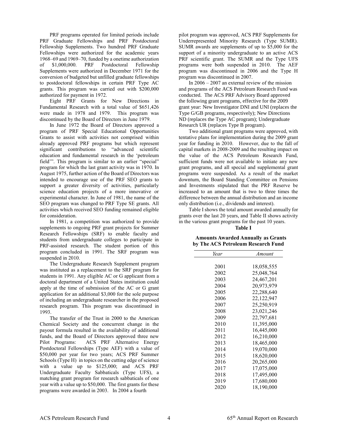PRF programs operated for limited periods include PRF Graduate Fellowships and PRF Postdoctoral Fellowship Supplements. Two hundred PRF Graduate Fellowships were authorized for the academic years 1968–69 and 1969–70, funded by a onetime authorization of \$1,000,000. PRF Postdoctoral Fellowship Supplements were authorized in December 1971 for the conversion of budgeted but unfilled graduate fellowships to postdoctoral fellowships in certain PRF Type AC grants. This program was carried out with \$200,000 authorized for payment in 1972.

Eight PRF Grants for New Directions in Fundamental Research with a total value of \$651,426 were made in 1978 and 1979. This program was discontinued by the Board of Directors in June 1979.

In June 1972 the Board of Directors approved a program of PRF Special Educational Opportunities Grants to assist with activities not comprised within already approved PRF programs but which represent significant contributions to "advanced scientific education and fundamental research in the 'petroleum field'". This program is similar to an earlier "special" program for which the last grant activity was in 1970. In August 1975, further action of the Board of Directors was intended to encourage use of the PRF SEO grants to support a greater diversity of activities, particularly science education projects of a more innovative or experimental character. In June of 1981, the name of the SEO program was changed to PRF Type SE grants. All activities which received SEO funding remained eligible for consideration.

In 1981, a competition was authorized to provide supplements to ongoing PRF grant projects for Summer Research Fellowships (SRF) to enable faculty and students from undergraduate colleges to participate in PRF-assisted research. The student portion of this program concluded in 1991. The SRF program was suspended in 2010.

The Undergraduate Research Supplement program was instituted as a replacement to the SRF program for students in 1991. Any eligible AC or G applicant from a doctoral department of a United States institution could apply at the time of submission of the AC or G grant application for an additional \$3,000 for the sole purpose of including an undergraduate researcher in the proposed research program. This program was discontinued in 1993.

The transfer of the Trust in 2000 to the American Chemical Society and the concurrent change in the payout formula resulted in the availability of additional funds, and the Board of Directors approved three new Pilot Programs: ACS PRF Alternative Energy Postdoctoral Fellowships (Type AEF) with a value of \$50,000 per year for two years; ACS PRF Summer Schools (Type H) in topics on the cutting edge of science with a value up to \$125,000; and ACS PRF Undergraduate Faculty Sabbaticals (Type UFS), a matching grant program for research sabbaticals of one year with a value up to \$50,000. The first grants for these programs were awarded in 2003. In 2004 a fourth

pilot program was approved, ACS PRF Supplements for Underrepresented Minority Research (Type SUMR). SUMR awards are supplements of up to \$5,000 for the support of a minority undergraduate to an active ACS PRF scientific grant. The SUMR and the Type UFS programs were both suspended in 2010. The AEF program was discontinued in 2006 and the Type H program was discontinued in 2007.

In 2006 – 2007 an external review of the mission and programs of the ACS Petroleum Research Fund was conducted. The ACS PRF Advisory Board approved the following grant programs, effective for the 2009 grant year: New Investigator DNI and UNI (replaces the Type G/GB programs, respectively); New Directions ND (replaces the Type AC program); Undergraduate Research UR (replaces Type B program).

Two additional grant programs were approved, with tentative plans for implementation during the 2009 grant year for funding in 2010. However, due to the fall of capital markets in 2008-2009 and the resulting impact on the value of the ACS Petroleum Research Fund, sufficient funds were not available to initiate any new grant programs, and all special and supplemental grant programs were suspended. As a result of the market downturn, the Board Standing Committee on Pensions and Investments stipulated that the PRF Reserve be increased to an amount that is two to three times the difference between the annual distribution and an income only distribution (i.e., dividends and interest).

Table I shows the total amount awarded annually for grants over the last 20 years, and Table II shows activity in the various grant programs for the past 10 years.

# **Table I**

#### **Amounts Awarded Annually as Grants by The ACS Petroleum Research Fund**

| Year | Amount     |
|------|------------|
|      |            |
| 2001 | 18,058,555 |
| 2002 | 25,048,764 |
| 2003 | 24,467,201 |
| 2004 | 20,973,979 |
| 2005 | 22,288,640 |
| 2006 | 22,122,947 |
| 2007 | 25,250,919 |
| 2008 | 23,021,246 |
| 2009 | 22,797,681 |
| 2010 | 11,395,000 |
| 2011 | 16,445,000 |
| 2012 | 16,210,000 |
| 2013 | 18,465,000 |
| 2014 | 19,070,000 |
| 2015 | 18,620,000 |
| 2016 | 20,265,000 |
| 2017 | 17,075,000 |
| 2018 | 17,495,000 |
| 2019 | 17,680,000 |
| 2020 | 18,190,000 |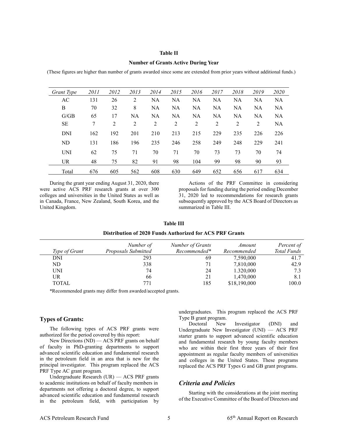#### **Table II**

#### **Number of Grants Active During Year**

(These figures are higher than number of grants awarded since some are extended from prior years without additional funds.)

| Grant Type | 2011 | 2012           | 2013      | 2014      | 2015      | 2016      | 2017           | 2018      | 2019      | 2020      |
|------------|------|----------------|-----------|-----------|-----------|-----------|----------------|-----------|-----------|-----------|
| AC         | 131  | 26             | 2         | <b>NA</b> | <b>NA</b> | NA        | <b>NA</b>      | <b>NA</b> | <b>NA</b> | <b>NA</b> |
| B          | 70   | 32             | 8         | <b>NA</b> | <b>NA</b> | NA        | NA             | <b>NA</b> | NA        | NA        |
| G/GB       | 65   | 17             | <b>NA</b> | <b>NA</b> | <b>NA</b> | <b>NA</b> | <b>NA</b>      | <b>NA</b> | <b>NA</b> | <b>NA</b> |
| <b>SE</b>  | 7    | $\overline{2}$ | 2         | 2         | 2         | 2         | $\overline{2}$ | 2         | 2         | <b>NA</b> |
| <b>DNI</b> | 162  | 192            | 201       | 210       | 213       | 215       | 229            | 235       | 226       | 226       |
| ND         | 131  | 186            | 196       | 235       | 246       | 258       | 249            | 248       | 229       | 241       |
| <b>UNI</b> | 62   | 75             | 71        | 70        | 71        | 70        | 73             | 73        | 70        | 74        |
| <b>UR</b>  | 48   | 75             | 82        | 91        | 98        | 104       | 99             | 98        | 90        | 93        |
| Total      | 676  | 605            | 562       | 608       | 630       | 649       | 652            | 656       | 617       | 634       |

During the grant year ending August 31, 2020, there were active ACS PRF research grants at over 300 colleges and universities in the United States as well as in Canada, France, New Zealand, South Korea, and the United Kingdom.

Actions of the PRF Committee in considering proposals for funding during the period ending December 31, 2020 led to recommendations for research grants subsequently approved by the ACS Board of Directors as summarized in Table III.

**Table III**

|  |  | Distribution of 2020 Funds Authorized for ACS PRF Grants |  |  |  |
|--|--|----------------------------------------------------------|--|--|--|
|--|--|----------------------------------------------------------|--|--|--|

|                      | Number of           | Number of Grants | Amount       | Percent of  |
|----------------------|---------------------|------------------|--------------|-------------|
| <i>Type of Grant</i> | Proposals Submitted | Recommended*     | Recommended  | Total Funds |
| DNI                  | 293                 | 69               | 7,590,000    | 41.7        |
| ND                   | 338                 | 71               | 7,810,000    | 42.9        |
| <b>UNI</b>           | 74                  | 24               | 1.320,000    | 7.3         |
| UR                   | 66                  | 21               | 1,470,000    | 8.1         |
| <b>TOTAL</b>         | 771                 | 185              | \$18,190,000 | 100.0       |

\*Recommended grants may differ from awarded/accepted grants.

#### **Types of Grants:**

The following types of ACS PRF grants were authorized for the period covered by this report:

New Directions (ND) — ACS PRF grants on behalf of faculty in PhD-granting departments to support advanced scientific education and fundamental research in the petroleum field in an area that is new for the principal investigator. This program replaced the ACS PRF Type AC grant program.

Undergraduate Research (UR) — ACS PRF grants to academic institutions on behalf of faculty members in departments not offering a doctoral degree, to support advanced scientific education and fundamental research in the petroleum field, with participation by undergraduates. This program replaced the ACS PRF Type B grant program.

Doctoral New Investigator (DNI) and Undergraduate New Investigator (UNI) — ACS PRF starter grants to support advanced scientific education and fundamental research by young faculty members who are within their first three years of their first appointment as regular faculty members of universities and colleges in the United States. These programs replaced the ACS PRF Types G and GB grant programs.

#### *Criteria and Policies*

Starting with the considerations at the joint meeting of the Executive Committee of the Board of Directors and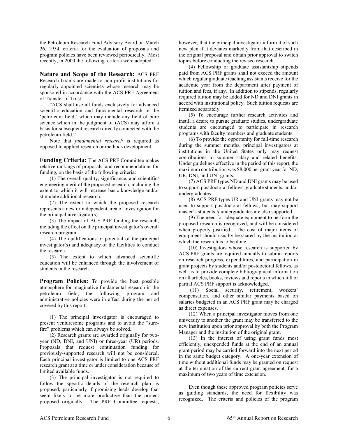the Petroleum Research Fund Advisory Board on March 26, 1954, criteria for the evaluation of proposals and program policies have been reviewed periodically. Most recently, in 2000 the following criteria were adopted:

**Nature and Scope of the Research:** ACS PRF Research Grants are made to non-profit institutions for regularly appointed scientists whose research may be sponsored in accordance with the ACS PRF Agreement of Transfer of Trust:

"ACS shall use all funds exclusively for advanced scientific education and fundamental research in the 'petroleum field,' which may include any field of pure science which in the judgment of (ACS) may afford a basis for subsequent research directly connected with the petroleum field."

Note that *fundamental research* is required as opposed to applied research or methods development.

**Funding Criteria:** The ACS PRF Committee makes relative rankings of proposals, and recommendations for funding, on the basis of the following criteria:

(1) The overall quality, significance, and scientific/ engineering merit of the proposed research, including the extent to which it will increase basic knowledge and/or stimulate additional research.

(2) The extent to which the proposed research represents a new or independent area of investigation for the principal investigator(s).

(3) The impact of ACS PRF funding the research, including the effect on the principal investigator's overall research program.

(4) The qualifications or potential of the principal investigator(s) and adequacy of the facilities to conduct the research.

(5) The extent to which advanced scientific education will be enhanced through the involvement of students in the research.

**Program Policies:** To provide the best possible atmosphere for imaginative fundamental research in the petroleum field, the following program and administrative policies were in effect during the period covered by this report:

(1) The principal investigator is encouraged to present venturesome programs and to avoid the "surefire" problems which can always be solved.

(2) Research grants are awarded originally for twoyear (ND, DNI, and UNI) or three-year (UR) periods. Proposals that request continuation funding for previously-supported research will not be considered. Each principal investigator is limited to one ACS PRF research grant at a time or under consideration because of limited available funds.

(3) The principal investigator is not required to follow the specific details of the research plan as proposed, particularly if promising leads develop that seem likely to be more productive than the project proposed originally. The PRF Committee requests, however, that the principal investigator inform it of such new plan if it deviates markedly from that described in the original proposal and obtain prior approval to switch topics before conducting the revised research.

(4) Fellowship or graduate assistantship stipends paid from ACS PRF grants shall not exceed the amount which regular graduate teaching assistants receive for the academic year from the department after payment of tuition and fees, if any. In addition to stipends, regularly required tuition may be added for ND and DNI grants in accord with institutional policy. Such tuition requests are itemized separately.

(5) To encourage further research activities and instill a desire to pursue graduate studies, undergraduate students are encouraged to participate in research programs with faculty members and graduate students.

(6) To provide the opportunity for full-time research during the summer months, principal investigators at institutions in the United States only may request contributions to summer salary and related benefits. Under guidelines effective in the period of this report, the maximum contribution was \$8,000 per grant year for ND, UR, DNI, and UNI grants.

(7) ACS PRF types ND and DNI grants may be used to support postdoctoral fellows, graduate students, and/or undergraduates.

(8) ACS PRF types UR and UNI grants may not be used to support postdoctoral fellows, but may support master's students *if* undergraduates are also supported.

(9) The need for adequate equipment to perform the proposed research is recognized, and will be considered when properly justified. The cost of major items of equipment should usually be shared by the institution at which the research is to be done.

(10) Investigators whose research is supported by ACS PRF grants are required annually to submit reports on research progress, expenditures, and participation in grant projects by students and/or postdoctoral fellows, as well as to provide complete bibliographical information on all articles, books, reviews and reports in which full or partial ACS PRF support is acknowledged.

(11) Social security, retirement, workers' compensation, and other similar payments based on salaries budgeted in an ACS PRF grant may be charged as direct expenses.

(12) When a principal investigator moves from one university to another the grant may be transferred to the new institution upon prior approval by both the Program Manager and the institution of the original grant.

(13) In the interest of using grant funds most efficiently, unexpended funds at the end of an annual grant period may be carried forward into the next period in the same budget category. A one-year extension of time without additional funds may be granted on request at the termination of the current grant agreement, for a maximum of two years of time extension.

Even though these approved program policies serve as guiding standards, the need for flexibility was recognized. The criteria and policies of the program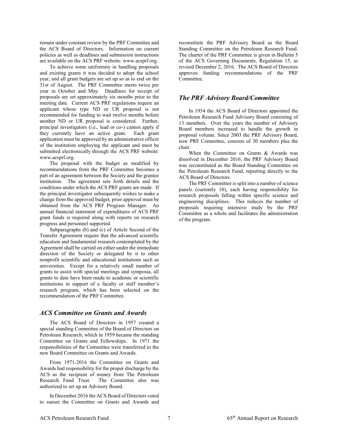remain under constant review by the PRF Committee and the ACS Board of Directors. Information on current policies as well as deadlines and submission instructions are available on the ACS PRF website: www.acsprf.org.

To achieve some uniformity in handling proposals and existing grants it was decided to adopt the school year, and all grant budgets are set up so as to end on the 31st of August. The PRF Committee meets twice per year in October and May. Deadlines for receipt of proposals are set approximately six months prior to the meeting date. Current ACS PRF regulations require an applicant whose type ND or UR proposal is not recommended for funding to wait twelve months before another ND or UR proposal is considered. Further, principal investigators (i.e., lead or co-) cannot apply if they currently have an active grant. Each grant application must be approved by an administrative officer of the institution employing the applicant and must be submitted electronically through the ACS PRF website: www.acsprf.org.

The proposal with the budget as modified by recommendations from the PRF Committee becomes a part of an agreement between the Society and the grantee institution. The agreement sets forth details and the conditions under which the ACS PRF grants are made. If the principal investigator subsequently wishes to make a change from the approved budget, prior approval must be obtained from the ACS PRF Program Manager. An annual financial statement of expenditures of ACS PRF grant funds is required along with reports on research progress and personnel supported.

Subparagraphs (b) and (c) of Article Second of the Transfer Agreement require that the advanced scientific education and fundamental research contemplated by the Agreement shall be carried on either under the immediate direction of the Society or delegated by it to other nonprofit scientific and educational institutions such as universities. Except for a relatively small number of grants to assist with special meetings and symposia, all grants to date have been made to academic or scientific institutions in support of a faculty or staff member's research program, which has been selected on the recommendation of the PRF Committee.

#### *ACS Committee on Grants and Awards*

The ACS Board of Directors in 1957 created a special standing Committee of the Board of Directors on Petroleum Research, which in 1959 became the standing Committee on Grants and Fellowships. In 1971 the responsibilities of the Committee were transferred to the new Board Committee on Grants and Awards.

From 1971-2016 the Committee on Grants and Awards had responsibility for the proper discharge by the ACS as the recipient of money from The Petroleum Research Fund Trust. The Committee also was authorized to set up an Advisory Board.

In December 2016 the ACS Board of Directors voted to sunset the Committee on Grants and Awards and reconstitute the PRF Advisory Board as the Board Standing Committee on the Petroleum Research Fund. The charter of the PRF Committee is given in Bulletin 5 of the ACS Governing Documents, Regulation 15, as revised December 2, 2016. The ACS Board of Directors approves funding recommendations of the PRF Committee.

#### *The PRF Advisory Board/Committee*

In 1954 the ACS Board of Directors appointed the Petroleum Research Fund Advisory Board consisting of 13 members. Over the years the number of Advisory Board members increased to handle the growth in proposal volume. Since 2003 the PRF Advisory Board, now PRF Committee, consists of 30 members plus the chair.

When the Committee on Grants & Awards was dissolved in December 2016, the PRF Advisory Board was reconstituted as the Board Standing Committee on the Petroleum Research Fund, reporting directly to the ACS Board of Directors.

The PRF Committee is split into a number of science panels (currently 10), each having responsibility for research proposals falling within specific science and engineering disciplines. This reduces the number of proposals requiring intensive study by the PRF Committee as a whole and facilitates the administration of the program.